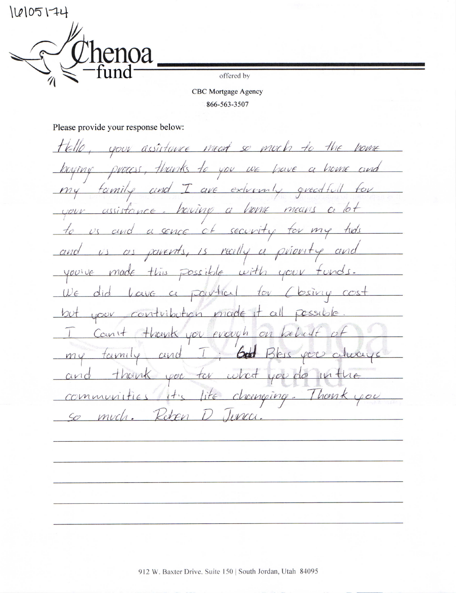16105174

offered by

**CBC** Mortgage Agency 866-563-3507

Please provide your response below:

tello you assistance meat so much to the home process, thanks to you we have a home and poying family and I are extremly greatfull  $f\circ \nu$ having a home means sence of security  $m_{\varphi}$ recelly a priority as pavents, is  $CIVIC$ and your tund you've Possible with made  $t\overline{l}$ Particel  $osiny$  $COS^ U(CU)$  $\mathcal{C}$  $t_{cv}$  $dict$ your contribution made it possible  $cell$ you enough on Canit though belieft God POU alway tamily  $5es$ my ceno and  $+cv$ Leoc whict lite cheenging. Though communitie  $\mathcal{L}$ Roben D Junca.  $\varphi$ much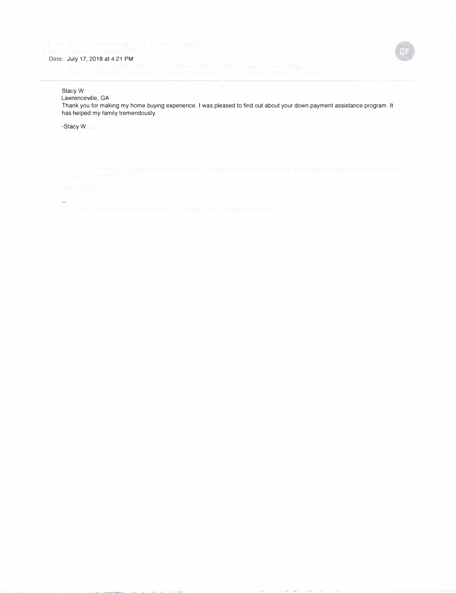

## Stacy W

Lawrenceville, GA

Thank you for making my home buying experience. I was pleased to find out about your down payment assistance program. It has helped my family tremendously.

-Stacy W

 $\mathcal{L}_{\mathbf{d}}$